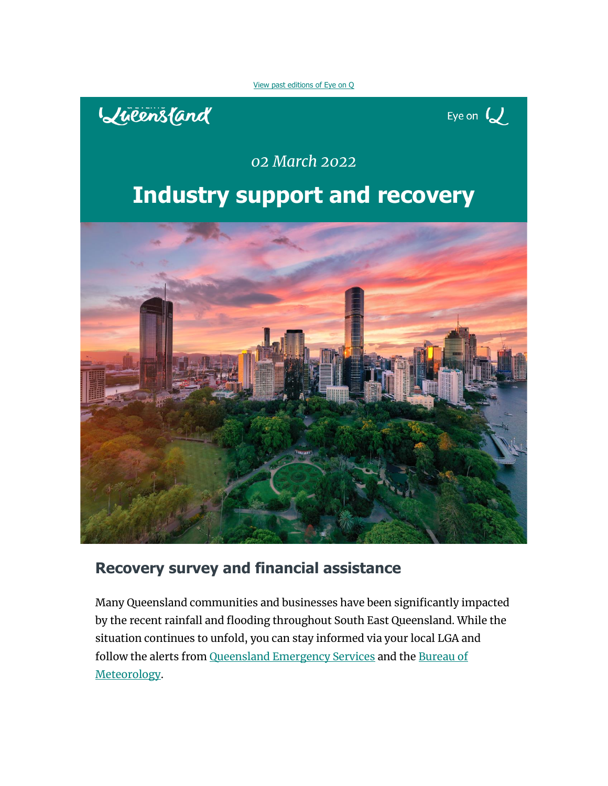[View past editions of Eye on Q](https://t.corp.e.queensland.com/r/?id=h19600a7,3d2a0b0,3d2a0b3&e=dXRtX21lZGl1bT1lbWFpbCZ1dG1fc291cmNlPWNvcnBvcmF0ZSZ1dG1fY2FtcGFpZ24lMjA9JTVCMjAyMiUyRjAzJTJGMDIlNUQlMjBFeWVvblFfMDIwMzIwMjImZW1haWxIYXNoPTI1YjE5NjFmYTU4ZWJlNDA2MjJhZGU2NzliYjViZmQ2MzQyYTgzN2NlNzg3ZGQ4YWE5MzdmNjdiZTNhZDhkNGY&s=1sy8WkuppOTghJn3AABq-nwnbLVvBT5hSjd0Nm-P8aI)





## *02 March 2022*

# **Industry support and recovery**



## **Recovery survey and financial assistance**

Many Queensland communities and businesses have been significantly impacted by the recent rainfall and flooding throughout South East Queensland. While the situation continues to unfold, you can stay informed via your local LGA and follow the alerts from [Queensland Emergency Services](https://t.corp.e.queensland.com/r/?id=h19600a7,3d2a0b0,3d2a0b9&e=dXRtX21lZGl1bT1lbWFpbCZ1dG1fc291cmNlPWNvcnBvcmF0ZSZ1dG1fY2FtcGFpZ24lMjA9JTVCMjAyMiUyRjAzJTJGMDIlNUQlMjBFeWVvblFfMDIwMzIwMjImZW1haWxIYXNoPTI1YjE5NjFmYTU4ZWJlNDA2MjJhZGU2NzliYjViZmQ2MzQyYTgzN2NlNzg3ZGQ4YWE5MzdmNjdiZTNhZDhkNGY&s=X-Iy2EW5Q2JTlCe0l0lY2jRCkV_XoPyEI1EHkARkuk0) and the [Bureau of](https://t.corp.e.queensland.com/r/?id=h19600a7,3d2a0b0,3d2a0ba&e=dXRtX21lZGl1bT1lbWFpbCZ1dG1fc291cmNlPWNvcnBvcmF0ZSZ1dG1fY2FtcGFpZ24lMjA9JTVCMjAyMiUyRjAzJTJGMDIlNUQlMjBFeWVvblFfMDIwMzIwMjImZW1haWxIYXNoPTI1YjE5NjFmYTU4ZWJlNDA2MjJhZGU2NzliYjViZmQ2MzQyYTgzN2NlNzg3ZGQ4YWE5MzdmNjdiZTNhZDhkNGY&s=H-_zhznWjio0vPDIuybuN0vW-Tp6FlX_FiwhWwSRjSY)  [Meteorology.](https://t.corp.e.queensland.com/r/?id=h19600a7,3d2a0b0,3d2a0ba&e=dXRtX21lZGl1bT1lbWFpbCZ1dG1fc291cmNlPWNvcnBvcmF0ZSZ1dG1fY2FtcGFpZ24lMjA9JTVCMjAyMiUyRjAzJTJGMDIlNUQlMjBFeWVvblFfMDIwMzIwMjImZW1haWxIYXNoPTI1YjE5NjFmYTU4ZWJlNDA2MjJhZGU2NzliYjViZmQ2MzQyYTgzN2NlNzg3ZGQ4YWE5MzdmNjdiZTNhZDhkNGY&s=H-_zhznWjio0vPDIuybuN0vW-Tp6FlX_FiwhWwSRjSY)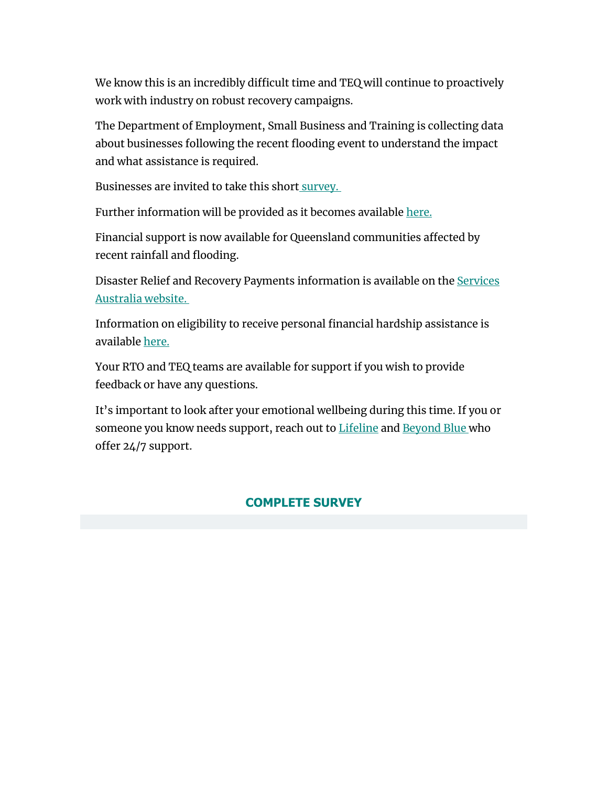We know this is an incredibly difficult time and TEQ will continue to proactively work with industry on robust recovery campaigns.

The Department of Employment, Small Business and Training is collecting data about businesses following the recent flooding event to understand the impact and what assistance is required.

Businesses are invited to take this short [survey.](https://t.corp.e.queensland.com/r/?id=h19600a7,3d2a0b0,3d2a0bb&e=dXRtX21lZGl1bT1lbWFpbCZ1dG1fc291cmNlPWNvcnBvcmF0ZSZ1dG1fY2FtcGFpZ24lMjA9JTVCMjAyMiUyRjAzJTJGMDIlNUQlMjBFeWVvblFfMDIwMzIwMjImZW1haWxIYXNoPTI1YjE5NjFmYTU4ZWJlNDA2MjJhZGU2NzliYjViZmQ2MzQyYTgzN2NlNzg3ZGQ4YWE5MzdmNjdiZTNhZDhkNGY&s=y31stJEUuldXOXzNtxlaYaZzY6sw9vb2qtZCpPIuCiQ)

Further information will be provided as it becomes available [here.](https://t.corp.e.queensland.com/r/?id=h19600a7,3d2a0b0,3d2a0bc&e=dXRtX21lZGl1bT1lbWFpbCZ1dG1fc291cmNlPWNvcnBvcmF0ZSZ1dG1fY2FtcGFpZ24lMjA9JTVCMjAyMiUyRjAzJTJGMDIlNUQlMjBFeWVvblFfMDIwMzIwMjImZW1haWxIYXNoPTI1YjE5NjFmYTU4ZWJlNDA2MjJhZGU2NzliYjViZmQ2MzQyYTgzN2NlNzg3ZGQ4YWE5MzdmNjdiZTNhZDhkNGY&s=vruIcjuH9FdKq5dXrT-eIalkIMaBZqpah8vU6Y8v41Y)

Financial support is now available for Queensland communities affected by recent rainfall and flooding.

Disaster Relief and Recovery Payments information is available on the Services [Australia website.](https://t.corp.e.queensland.com/r/?id=h19600a7,3d2a0b0,3d2a0bd&e=dXRtX21lZGl1bT1lbWFpbCZ1dG1fc291cmNlPWNvcnBvcmF0ZSZ1dG1fY2FtcGFpZ24lMjA9JTVCMjAyMiUyRjAzJTJGMDIlNUQlMjBFeWVvblFfMDIwMzIwMjImZW1haWxIYXNoPTI1YjE5NjFmYTU4ZWJlNDA2MjJhZGU2NzliYjViZmQ2MzQyYTgzN2NlNzg3ZGQ4YWE5MzdmNjdiZTNhZDhkNGY&s=OHaX_WSNoz-vr7xSLH0VhIS0yXnhEi9LQnbkL44pFx0)

Information on eligibility to receive personal financial hardship assistance is available [here.](https://t.corp.e.queensland.com/r/?id=h19600a7,3d2a0b0,3d2a0be&e=dXRtX21lZGl1bT1lbWFpbCZ1dG1fc291cmNlPWNvcnBvcmF0ZSZ1dG1fY2FtcGFpZ24lMjA9JTVCMjAyMiUyRjAzJTJGMDIlNUQlMjBFeWVvblFfMDIwMzIwMjImZW1haWxIYXNoPTI1YjE5NjFmYTU4ZWJlNDA2MjJhZGU2NzliYjViZmQ2MzQyYTgzN2NlNzg3ZGQ4YWE5MzdmNjdiZTNhZDhkNGY&s=ddCoY8rgfzfL7IK1oCTSuhu8bCphE9iBhLgaoc0-quQ)

Your RTO and TEQ teams are available for support if you wish to provide feedback or have any questions.

It's important to look after your emotional wellbeing during this time. If you or someone you know needs support, reach out to [Lifeline](https://t.corp.e.queensland.com/r/?id=h19600a7,3d2a0b0,3d2a0bf&e=dXRtX21lZGl1bT1lbWFpbCZ1dG1fc291cmNlPWNvcnBvcmF0ZSZ1dG1fY2FtcGFpZ24lMjA9JTVCMjAyMiUyRjAzJTJGMDIlNUQlMjBFeWVvblFfMDIwMzIwMjImZW1haWxIYXNoPTI1YjE5NjFmYTU4ZWJlNDA2MjJhZGU2NzliYjViZmQ2MzQyYTgzN2NlNzg3ZGQ4YWE5MzdmNjdiZTNhZDhkNGY&s=1HTDFezC68JuPZm6EaEm8lEbA6jB1nFHyVZZsZFgqbo) and [Beyond Blue](https://t.corp.e.queensland.com/r/?id=h19600a7,3d2a0b0,3d2a0c0&e=dXRtX21lZGl1bT1lbWFpbCZ1dG1fc291cmNlPWNvcnBvcmF0ZSZ1dG1fY2FtcGFpZ24lMjA9JTVCMjAyMiUyRjAzJTJGMDIlNUQlMjBFeWVvblFfMDIwMzIwMjImZW1haWxIYXNoPTI1YjE5NjFmYTU4ZWJlNDA2MjJhZGU2NzliYjViZmQ2MzQyYTgzN2NlNzg3ZGQ4YWE5MzdmNjdiZTNhZDhkNGY&s=B9_qWJcrutqOSvvTFITirrfCxe1JCZr9jVx0s13Hjo0) who offer 24/7 support.

### **[COMPLETE SURVEY](https://t.corp.e.queensland.com/r/?id=h19600a7,3d2a0b0,3d2a0c1&e=dXRtX21lZGl1bT1lbWFpbCZ1dG1fc291cmNlPWNvcnBvcmF0ZSZ1dG1fY2FtcGFpZ24lMjA9JTVCMjAyMiUyRjAzJTJGMDIlNUQlMjBFeWVvblFfMDIwMzIwMjImZW1haWxIYXNoPTI1YjE5NjFmYTU4ZWJlNDA2MjJhZGU2NzliYjViZmQ2MzQyYTgzN2NlNzg3ZGQ4YWE5MzdmNjdiZTNhZDhkNGY&s=h8xWP2Qr_Sui7xKvZPqJkU6eR41isR7qr4TYxnu9VWk)**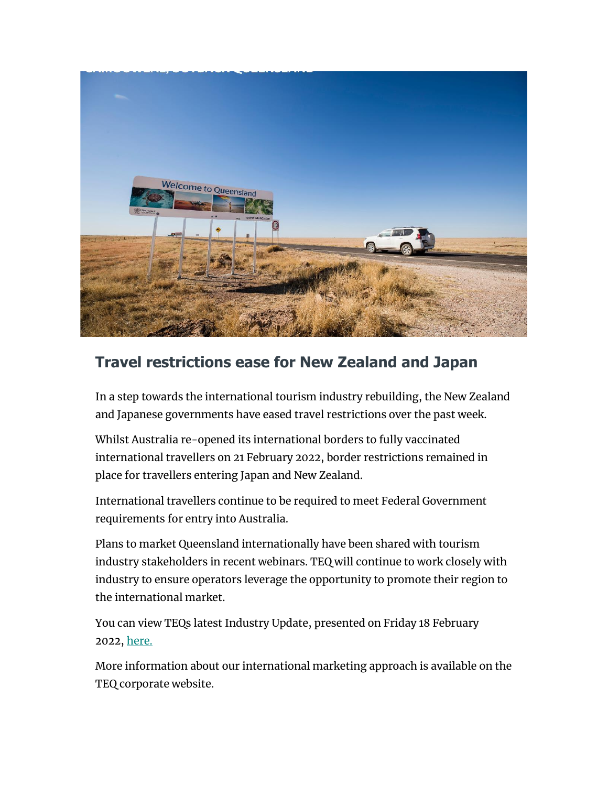

## **Travel restrictions ease for New Zealand and Japan**

In a step towards the international tourism industry rebuilding, the New Zealand and Japanese governments have eased travel restrictions over the past week.

Whilst Australia re-opened its international borders to fully vaccinated international travellers on 21 February 2022, border restrictions remained in place for travellers entering Japan and New Zealand.

International travellers continue to be required to meet Federal Government requirements for entry into Australia.

Plans to market Queensland internationally have been shared with tourism industry stakeholders in recent webinars. TEQ will continue to work closely with industry to ensure operators leverage the opportunity to promote their region to the international market.

You can view TEQs latest Industry Update, presented on Friday 18 February 2022, [here.](https://t.corp.e.queensland.com/r/?id=h19600a7,3d2a0b0,3d2a0c3&e=dXRtX21lZGl1bT1lbWFpbCZ1dG1fc291cmNlPWNvcnBvcmF0ZSZ1dG1fY2FtcGFpZ24lMjA9JTVCMjAyMiUyRjAzJTJGMDIlNUQlMjBFeWVvblFfMDIwMzIwMjImZW1haWxIYXNoPTI1YjE5NjFmYTU4ZWJlNDA2MjJhZGU2NzliYjViZmQ2MzQyYTgzN2NlNzg3ZGQ4YWE5MzdmNjdiZTNhZDhkNGY&s=0ditSRgJFhBq-_ge5g5WSgABaJKWQwuaT0N26gw8wbQ)

More information about our international marketing approach is available on the TEQ corporate website.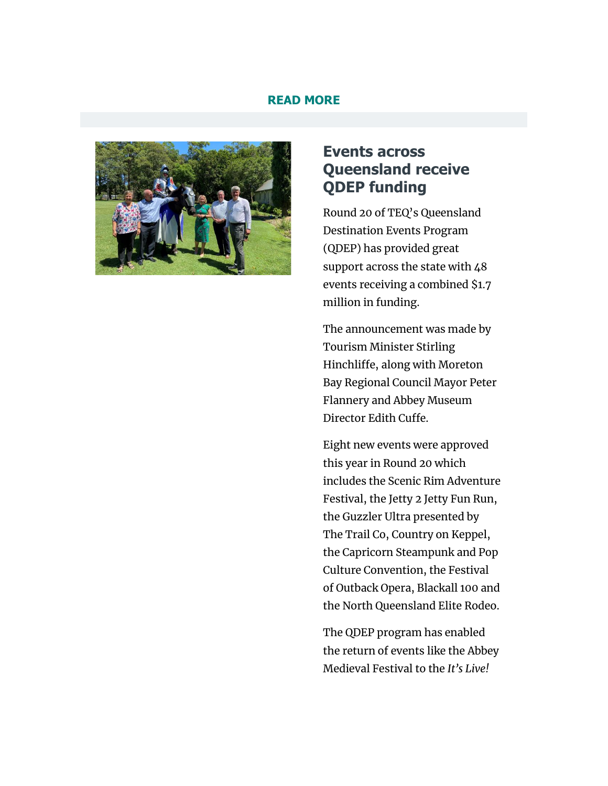#### **[READ MORE](https://t.corp.e.queensland.com/r/?id=h19600a7,3d2a0b0,3d2a0c4&e=dXRtX21lZGl1bT1lbWFpbCZ1dG1fc291cmNlPWNvcnBvcmF0ZSZ1dG1fY2FtcGFpZ24lMjA9JTVCMjAyMiUyRjAzJTJGMDIlNUQlMjBFeWVvblFfMDIwMzIwMjImZW1haWxIYXNoPTI1YjE5NjFmYTU4ZWJlNDA2MjJhZGU2NzliYjViZmQ2MzQyYTgzN2NlNzg3ZGQ4YWE5MzdmNjdiZTNhZDhkNGY&s=xsOwr7vH8-47RSGq9jrfD3R_2woiYzvfubnWc14C7EA)**



### **Events across Queensland receive QDEP funding**

Round 20 of TEQ's Queensland Destination Events Program (QDEP) has provided great support across the state with 48 events receiving a combined \$1.7 million in funding.

The announcement was made by Tourism Minister Stirling Hinchliffe, along with Moreton Bay Regional Council Mayor Peter Flannery and Abbey Museum Director Edith Cuffe.

Eight new events were approved this year in Round 20 which includes the Scenic Rim Adventure Festival, the Jetty 2 Jetty Fun Run, the Guzzler Ultra presented by The Trail Co, Country on Keppel, the Capricorn Steampunk and Pop Culture Convention, the Festival of Outback Opera, Blackall 100 and the North Queensland Elite Rodeo.

The QDEP program has enabled the return of events like the Abbey Medieval Festival to the *It's Live!*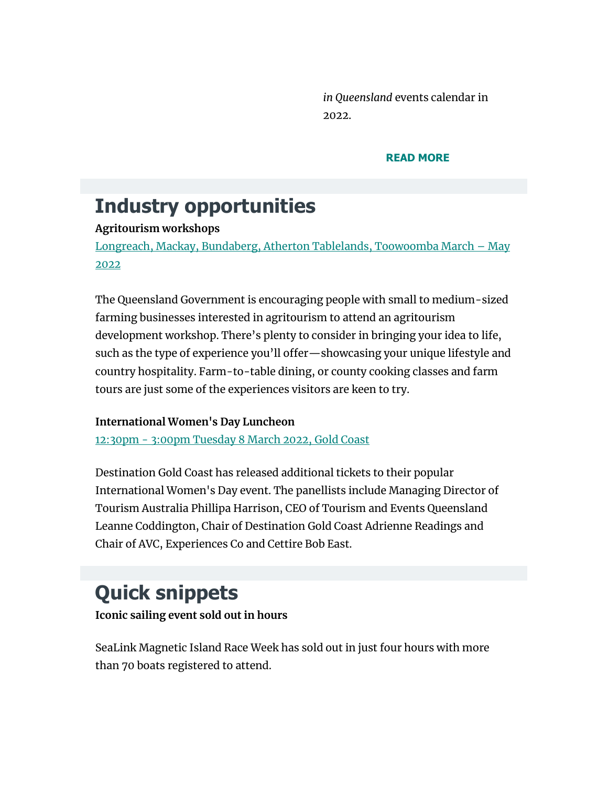*in Queensland* events calendar in 2022.

#### **[READ MORE](https://t.corp.e.queensland.com/r/?id=h19600a7,3d2a0b0,3d2a0c6&e=dXRtX21lZGl1bT1lbWFpbCZ1dG1fc291cmNlPWNvcnBvcmF0ZSZ1dG1fY2FtcGFpZ24lMjA9JTVCMjAyMiUyRjAzJTJGMDIlNUQlMjBFeWVvblFfMDIwMzIwMjImZW1haWxIYXNoPTI1YjE5NjFmYTU4ZWJlNDA2MjJhZGU2NzliYjViZmQ2MzQyYTgzN2NlNzg3ZGQ4YWE5MzdmNjdiZTNhZDhkNGY&s=0aZzxnEsIlRds-DKM8idLU_vqJ02E-Ex2T1jDT2hrmo)**

## **Industry opportunities**

### **Agritourism workshops**

[Longreach, Mackay, Bundaberg, Atherton Tablelands, Toowoomba March](https://t.corp.e.queensland.com/r/?id=h19600a7,3d2a0b0,3d2a0c7&e=dXRtX21lZGl1bT1lbWFpbCZ1dG1fc291cmNlPWNvcnBvcmF0ZSZ1dG1fY2FtcGFpZ24lMjA9JTVCMjAyMiUyRjAzJTJGMDIlNUQlMjBFeWVvblFfMDIwMzIwMjImZW1haWxIYXNoPTI1YjE5NjFmYTU4ZWJlNDA2MjJhZGU2NzliYjViZmQ2MzQyYTgzN2NlNzg3ZGQ4YWE5MzdmNjdiZTNhZDhkNGY&s=VNxB2qjdez02vJK3hdRe9vwebcQ-qjGCULQ6dl04FLY) – May [2022](https://t.corp.e.queensland.com/r/?id=h19600a7,3d2a0b0,3d2a0c7&e=dXRtX21lZGl1bT1lbWFpbCZ1dG1fc291cmNlPWNvcnBvcmF0ZSZ1dG1fY2FtcGFpZ24lMjA9JTVCMjAyMiUyRjAzJTJGMDIlNUQlMjBFeWVvblFfMDIwMzIwMjImZW1haWxIYXNoPTI1YjE5NjFmYTU4ZWJlNDA2MjJhZGU2NzliYjViZmQ2MzQyYTgzN2NlNzg3ZGQ4YWE5MzdmNjdiZTNhZDhkNGY&s=VNxB2qjdez02vJK3hdRe9vwebcQ-qjGCULQ6dl04FLY)

The Queensland Government is encouraging people with small to medium-sized farming businesses interested in agritourism to attend an agritourism development workshop. There's plenty to consider in bringing your idea to life, such as the type of experience you'll offer—showcasing your unique lifestyle and country hospitality. Farm-to-table dining, or county cooking classes and farm tours are just some of the experiences visitors are keen to try.

#### **International Women's Day Luncheon**

12:30pm - [3:00pm Tuesday 8 March 2022, Gold Coast](https://t.corp.e.queensland.com/r/?id=h19600a7,3d2a0b0,3d2a0c8&e=dXRtX21lZGl1bT1lbWFpbCZ1dG1fc291cmNlPWNvcnBvcmF0ZSZ1dG1fY2FtcGFpZ24lMjA9JTVCMjAyMiUyRjAzJTJGMDIlNUQlMjBFeWVvblFfMDIwMzIwMjImZW1haWxIYXNoPTI1YjE5NjFmYTU4ZWJlNDA2MjJhZGU2NzliYjViZmQ2MzQyYTgzN2NlNzg3ZGQ4YWE5MzdmNjdiZTNhZDhkNGY&s=SZEd8iQeGHTVMDWPXrUbaZFvxUKw48ihUx00K2iyTrY)

Destination Gold Coast has released additional tickets to their popular International Women's Day event. The panellists include Managing Director of Tourism Australia Phillipa Harrison, CEO of Tourism and Events Queensland Leanne Coddington, Chair of Destination Gold Coast Adrienne Readings and Chair of AVC, Experiences Co and Cettire Bob East.

# **Quick snippets**

**Iconic sailing event sold out in hours**

SeaLink Magnetic Island Race Week has sold out in just four hours with more than 70 boats registered to attend.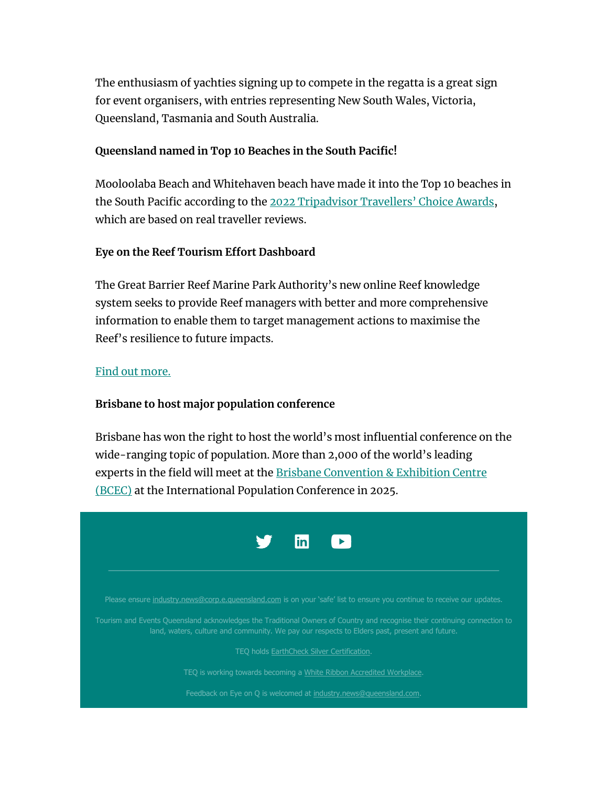The enthusiasm of yachties signing up to compete in the regatta is a great sign for event organisers, with entries representing New South Wales, Victoria, Queensland, Tasmania and South Australia.

#### **Queensland named in Top 10 Beaches in the South Pacific!**

Mooloolaba Beach and Whitehaven beach have made it into the Top 10 beaches in the South Pacific according to the [2022 Tripadvisor Travellers' Choice Awards](https://t.corp.e.queensland.com/r/?id=h19600a7,3d2a0b0,3d2a0c9&e=dXRtX21lZGl1bT1lbWFpbCZ1dG1fc291cmNlPWNvcnBvcmF0ZSZ1dG1fY2FtcGFpZ24lMjA9JTVCMjAyMiUyRjAzJTJGMDIlNUQlMjBFeWVvblFfMDIwMzIwMjImZW1haWxIYXNoPTI1YjE5NjFmYTU4ZWJlNDA2MjJhZGU2NzliYjViZmQ2MzQyYTgzN2NlNzg3ZGQ4YWE5MzdmNjdiZTNhZDhkNGY&s=AvyEo9Ak4idsxW0Ri47qFZ80L60GwXYxK4qwvOJymE0), which are based on real traveller reviews.

#### **Eye on the Reef Tourism Effort Dashboard**

The Great Barrier Reef Marine Park Authority's new online Reef knowledge system seeks to provide Reef managers with better and more comprehensive information to enable them to target management actions to maximise the Reef's resilience to future impacts.

#### [Find out more.](https://t.corp.e.queensland.com/r/?id=h19600a7,3d2a0b0,3d2a0ca&e=dXRtX21lZGl1bT1lbWFpbCZ1dG1fc291cmNlPWNvcnBvcmF0ZSZ1dG1fY2FtcGFpZ24lMjA9JTVCMjAyMiUyRjAzJTJGMDIlNUQlMjBFeWVvblFfMDIwMzIwMjImZW1haWxIYXNoPTI1YjE5NjFmYTU4ZWJlNDA2MjJhZGU2NzliYjViZmQ2MzQyYTgzN2NlNzg3ZGQ4YWE5MzdmNjdiZTNhZDhkNGY&s=6PTIUraMukBwvDAUeWarvSyH4YH7sqCdXutyEPej99A)

### **Brisbane to host major population conference**

Brisbane has won the right to host the world's most influential conference on the wide-ranging topic of population. More than 2,000 of the world's leading experts in the field will meet at the Brisbane Convention & Exhibition Centre [\(BCEC\)](https://t.corp.e.queensland.com/r/?id=h19600a7,3d2a0b0,3d2a0cb&e=dXRtX21lZGl1bT1lbWFpbCZ1dG1fc291cmNlPWNvcnBvcmF0ZSZ1dG1fY2FtcGFpZ24lMjA9JTVCMjAyMiUyRjAzJTJGMDIlNUQlMjBFeWVvblFfMDIwMzIwMjImZW1haWxIYXNoPTI1YjE5NjFmYTU4ZWJlNDA2MjJhZGU2NzliYjViZmQ2MzQyYTgzN2NlNzg3ZGQ4YWE5MzdmNjdiZTNhZDhkNGY&s=8-EK3ZGxcl3II9xM5fw0ZmgOUxomn0jkJPB7D5rLU0M) at the International Population Conference in 2025.